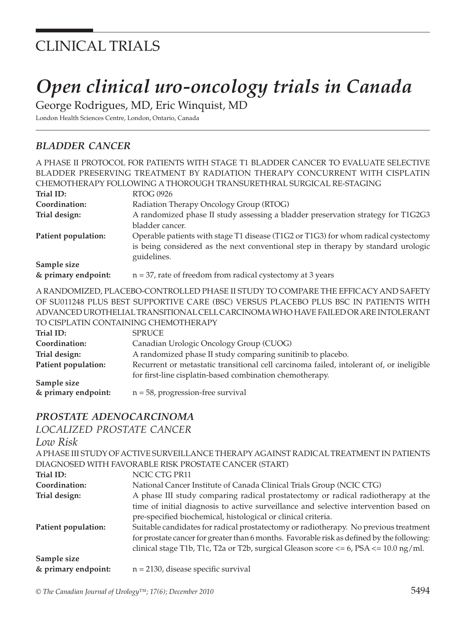## CLINICAL TRIALS

# *Open clinical uro-oncology trials in Canada*

George Rodrigues, MD, Eric Winquist, MD

London Health Sciences Centre, London, Ontario, Canada

#### *BLADDER CANCER*

|                                                                                      | A PHASE II PROTOCOL FOR PATIENTS WITH STAGE T1 BLADDER CANCER TO EVALUATE SELECTIVE      |  |
|--------------------------------------------------------------------------------------|------------------------------------------------------------------------------------------|--|
| BLADDER PRESERVING TREATMENT BY RADIATION THERAPY CONCURRENT WITH CISPLATIN          |                                                                                          |  |
|                                                                                      | CHEMOTHERAPY FOLLOWING A THOROUGH TRANSURETHRAL SURGICAL RE-STAGING                      |  |
| Trial ID:                                                                            | <b>RTOG 0926</b>                                                                         |  |
| Coordination:                                                                        | Radiation Therapy Oncology Group (RTOG)                                                  |  |
| Trial design:                                                                        | A randomized phase II study assessing a bladder preservation strategy for T1G2G3         |  |
|                                                                                      | bladder cancer.                                                                          |  |
| Patient population:                                                                  | Operable patients with stage T1 disease (T1G2 or T1G3) for whom radical cystectomy       |  |
|                                                                                      | is being considered as the next conventional step in therapy by standard urologic        |  |
|                                                                                      | guidelines.                                                                              |  |
| Sample size                                                                          |                                                                                          |  |
| & primary endpoint:                                                                  | $n = 37$ , rate of freedom from radical cystectomy at 3 years                            |  |
|                                                                                      | A RANDOMIZED, PLACEBO-CONTROLLED PHASE II STUDY TO COMPARE THE EFFICACY AND SAFETY       |  |
| OF SU011248 PLUS BEST SUPPORTIVE CARE (BSC) VERSUS PLACEBO PLUS BSC IN PATIENTS WITH |                                                                                          |  |
| ADVANCED UROTHELIAL TRANSITIONAL CELL CARCINOMA WHO HAVE FAILED OR ARE INTOLERANT    |                                                                                          |  |
| TO CISPLATIN CONTAINING CHEMOTHERAPY                                                 |                                                                                          |  |
| Trial ID:                                                                            | <b>SPRUCE</b>                                                                            |  |
| Coordination:                                                                        | Canadian Urologic Oncology Group (CUOG)                                                  |  |
| Trial design:                                                                        | A randomized phase II study comparing sunitinib to placebo.                              |  |
| Patient population:                                                                  | Recurrent or metastatic transitional cell carcinoma failed, intolerant of, or ineligible |  |
|                                                                                      | for first-line cisplatin-based combination chemotherapy.                                 |  |
| Sample size                                                                          |                                                                                          |  |
| & primary endpoint:                                                                  | $n = 58$ , progression-free survival                                                     |  |
| PROSTATE ADENOCARCINOMA                                                              |                                                                                          |  |
| LOCALIZED PROSTATE CANCER                                                            |                                                                                          |  |
| Low Risk                                                                             |                                                                                          |  |
|                                                                                      |                                                                                          |  |

| A PHASE III STUDY OF ACTIVE SURVEILLANCE THERAPY AGAINST RADICAL TREATMENT IN PATIENTS         |
|------------------------------------------------------------------------------------------------|
| DIAGNOSED WITH FAVORABLE RISK PROSTATE CANCER (START)                                          |
| NCIC CTG PR11                                                                                  |
| National Cancer Institute of Canada Clinical Trials Group (NCIC CTG)                           |
| A phase III study comparing radical prostatectomy or radical radiotherapy at the               |
| time of initial diagnosis to active surveillance and selective intervention based on           |
| pre-specified biochemical, histological or clinical criteria.                                  |
| Suitable candidates for radical prostatectomy or radiotherapy. No previous treatment           |
| for prostate cancer for greater than 6 months. Favorable risk as defined by the following:     |
| clinical stage T1b, T1c, T2a or T2b, surgical Gleason score $\lt$ = 6, PSA $\lt$ = 10.0 ng/ml. |
|                                                                                                |
| $n = 2130$ , disease specific survival                                                         |
|                                                                                                |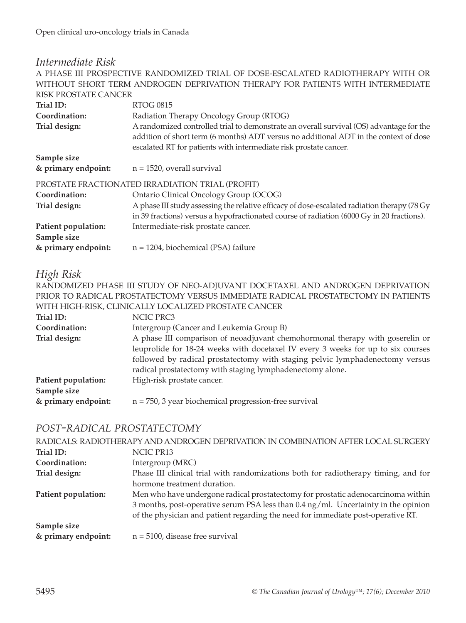### *Intermediate Risk*

A PHASE III PROSPECTIVE RANDOMIZED TRIAL OF DOSE-ESCALATED RADIOTHERAPY WITH OR WITHOUT SHORT TERM ANDROGEN DEPRIVATION THERAPY FOR PATIENTS WITH INTERMEDIATE RISK PROSTATE CANCER

| Trial ID:           | <b>RTOG 0815</b>                                                                                                                                                                                                                                      |
|---------------------|-------------------------------------------------------------------------------------------------------------------------------------------------------------------------------------------------------------------------------------------------------|
| Coordination:       | Radiation Therapy Oncology Group (RTOG)                                                                                                                                                                                                               |
| Trial design:       | A randomized controlled trial to demonstrate an overall survival (OS) advantage for the<br>addition of short term (6 months) ADT versus no additional ADT in the context of dose<br>escalated RT for patients with intermediate risk prostate cancer. |
| Sample size         |                                                                                                                                                                                                                                                       |
| & primary endpoint: | $n = 1520$ , overall survival                                                                                                                                                                                                                         |
|                     | PROSTATE FRACTIONATED IRRADIATION TRIAL (PROFIT)                                                                                                                                                                                                      |
| Coordination:       | Ontario Clinical Oncology Group (OCOG)                                                                                                                                                                                                                |
| Trial design:       | A phase III study assessing the relative efficacy of dose-escalated radiation therapy (78 Gy                                                                                                                                                          |
|                     | in 39 fractions) versus a hypofractionated course of radiation (6000 Gy in 20 fractions).                                                                                                                                                             |
| Patient population: | Intermediate-risk prostate cancer.                                                                                                                                                                                                                    |
| Sample size         |                                                                                                                                                                                                                                                       |
| & primary endpoint: | $n = 1204$ , biochemical (PSA) failure                                                                                                                                                                                                                |

#### *High Risk*

RANDOMIZED PHASE III STUDY OF NEO-ADJUVANT DOCETAXEL AND ANDROGEN DEPRIVATION PRIOR TO RADICAL PROSTATECTOMY VERSUS IMMEDIATE RADICAL PROSTATECTOMY IN PATIENTS WITH HIGH-RISK, CLINICALLY LOCALIZED PROSTATE CANCER

| Trial ID:           | NCIC PRC3                                                                        |
|---------------------|----------------------------------------------------------------------------------|
| Coordination:       | Intergroup (Cancer and Leukemia Group B)                                         |
| Trial design:       | A phase III comparison of neoadjuvant chemohormonal therapy with goserelin or    |
|                     | leuprolide for 18-24 weeks with docetaxel IV every 3 weeks for up to six courses |
|                     | followed by radical prostatectomy with staging pelvic lymphadenectomy versus     |
|                     | radical prostatectomy with staging lymphadenectomy alone.                        |
| Patient population: | High-risk prostate cancer.                                                       |
| Sample size         |                                                                                  |
| & primary endpoint: | $n = 750$ , 3 year biochemical progression-free survival                         |

#### *POST-RADICAL PROSTATECTOMY*

| RADICALS: RADIOTHERAPY AND ANDROGEN DEPRIVATION IN COMBINATION AFTER LOCAL SURGERY |                                                                                    |
|------------------------------------------------------------------------------------|------------------------------------------------------------------------------------|
| Trial ID:                                                                          | NCIC PR13                                                                          |
| Coordination:                                                                      | Intergroup (MRC)                                                                   |
| Trial design:                                                                      | Phase III clinical trial with randomizations both for radiotherapy timing, and for |
|                                                                                    | hormone treatment duration.                                                        |
| Patient population:                                                                | Men who have undergone radical prostatectomy for prostatic adenocarcinoma within   |
|                                                                                    | 3 months, post-operative serum PSA less than 0.4 ng/ml. Uncertainty in the opinion |
|                                                                                    | of the physician and patient regarding the need for immediate post-operative RT.   |
| Sample size                                                                        |                                                                                    |
| & primary endpoint:                                                                | $n = 5100$ , disease free survival                                                 |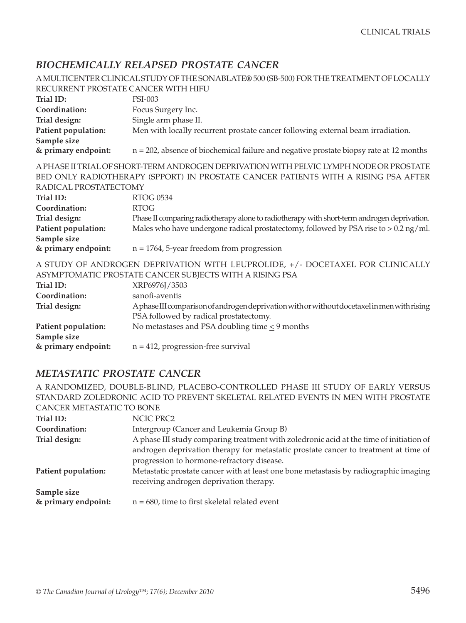#### *BIOCHEMICALLY RELAPSED PROSTATE CANCER*

|                                     | A MULTICENTER CLINICAL STUDY OF THE SONABLATE® 500 (SB-500) FOR THE TREATMENT OF LOCALLY    |
|-------------------------------------|---------------------------------------------------------------------------------------------|
| RECURRENT PROSTATE CANCER WITH HIFU |                                                                                             |
| Trial ID:                           | <b>FSI-003</b>                                                                              |
| Coordination:                       | Focus Surgery Inc.                                                                          |
| Trial design:                       | Single arm phase II.                                                                        |
| Patient population:                 | Men with locally recurrent prostate cancer following external beam irradiation.             |
| Sample size                         |                                                                                             |
| & primary endpoint:                 | $n = 202$ , absence of biochemical failure and negative prostate biopsy rate at 12 months   |
|                                     | A PHASE II TRIAL OF SHORT-TERM ANDROGEN DEPRIVATION WITH PELVIC LYMPH NODE OR PROSTATE      |
|                                     | BED ONLY RADIOTHERAPY (SPPORT) IN PROSTATE CANCER PATIENTS WITH A RISING PSA AFTER          |
| RADICAL PROSTATECTOMY               |                                                                                             |
| Trial ID:                           | <b>RTOG 0534</b>                                                                            |
| Coordination:                       | <b>RTOG</b>                                                                                 |
| Trial design:                       | Phase II comparing radiotherapy alone to radiotherapy with short-term androgen deprivation. |
| Patient population:                 | Males who have undergone radical prostatectomy, followed by PSA rise to > 0.2 ng/ml.        |
| Sample size                         |                                                                                             |
| & primary endpoint:                 | $n = 1764$ , 5-year freedom from progression                                                |
|                                     | A STUDY OF ANDROGEN DEPRIVATION WITH LEUPROLIDE, +/- DOCETAXEL FOR CLINICALLY               |
|                                     | ASYMPTOMATIC PROSTATE CANCER SUBJECTS WITH A RISING PSA                                     |
| Trial ID:                           | XRP6976J/3503                                                                               |
| Coordination:                       | sanofi-aventis                                                                              |
| Trial design:                       | AphaseIII comparison of androgen deprivation with or without docetaxel in men with rising   |
|                                     | PSA followed by radical prostatectomy.                                                      |
| Patient population:                 | No metastases and PSA doubling time $\leq$ 9 months                                         |
| Sample size                         |                                                                                             |
| & primary endpoint:                 | $n = 412$ , progression-free survival                                                       |

#### *METASTATIC PROSTATE CANCER*

A RANDOMIZED, DOUBLE-BLIND, PLACEBO-CONTROLLED PHASE III STUDY OF EARLY VERSUS STANDARD ZOLEDRONIC ACID TO PREVENT SKELETAL RELATED EVENTS IN MEN WITH PROSTATE CANCER METASTATIC TO BONE

| Trial ID:           | NCIC PRC2                                                                                                                         |
|---------------------|-----------------------------------------------------------------------------------------------------------------------------------|
| Coordination:       | Intergroup (Cancer and Leukemia Group B)                                                                                          |
| Trial design:       | A phase III study comparing treatment with zoledronic acid at the time of initiation of                                           |
|                     | androgen deprivation therapy for metastatic prostate cancer to treatment at time of<br>progression to hormone-refractory disease. |
| Patient population: | Metastatic prostate cancer with at least one bone metastasis by radiographic imaging<br>receiving androgen deprivation therapy.   |
| Sample size         |                                                                                                                                   |
| & primary endpoint: | $n = 680$ , time to first skeletal related event                                                                                  |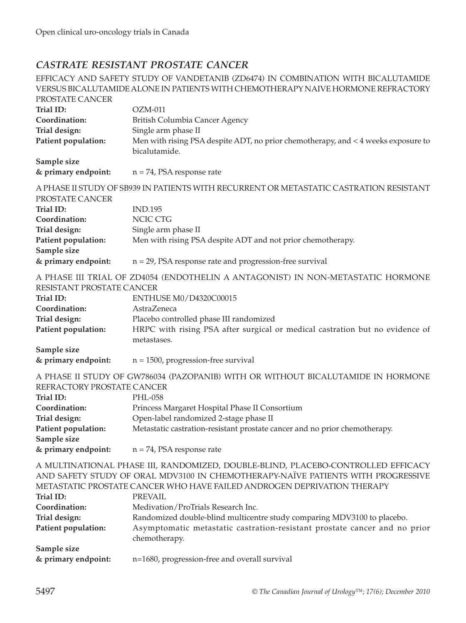#### *CASTRATE RESISTANT PROSTATE CANCER*

EFFICACY AND SAFETY STUDY OF VANDETANIB (ZD6474) IN COMBINATION WITH BICALUTAMIDE VERSUS BICALUTAMIDE ALONE IN PATIENTS WITH CHEMOTHERAPY NAIVE HORMONE REFRACTORY PROSTATE CANCER **Trial ID:** OZM-011 **Coordination:** British Columbia Cancer Agency **Trial design:** Single arm phase II **Patient population:** Men with rising PSA despite ADT, no prior chemotherapy, and < 4 weeks exposure to bicalutamide. **Sample size & primary endpoint:** n = 74, PSA response rate A PHASE II STUDY OF SB939 IN PATIENTS WITH RECURRENT OR METASTATIC CASTRATION RESISTANT PROSTATE CANCER **Trial ID:** IND.195 **Coordination:** NCIC CTG **Trial design:** Single arm phase II **Patient population:** Men with rising PSA despite ADT and not prior chemotherapy. **Sample size & primary endpoint:** n = 29, PSA response rate and progression-free survival A PHASE III TRIAL OF ZD4054 (ENDOTHELIN A ANTAGONIST) IN NON-METASTATIC HORMONE RESISTANT PROSTATE CANCER **Trial ID:** ENTHUSE M0/D4320C00015 **Coordination:** AstraZeneca **Trial design:** Placebo controlled phase III randomized **Patient population:** HRPC with rising PSA after surgical or medical castration but no evidence of metastases. **Sample size & primary endpoint:** n = 1500, progression-free survival A PHASE II STUDY OF GW786034 (PAZOPANIB) WITH OR WITHOUT BICALUTAMIDE IN HORMONE REFRACTORY PROSTATE CANCER **Trial ID:** PHL-058 **Coordination:** Princess Margaret Hospital Phase II Consortium **Trial design:** Open-label randomized 2-stage phase II **Patient population:** Metastatic castration-resistant prostate cancer and no prior chemotherapy. **Sample size & primary endpoint:** n = 74, PSA response rate A MULTINATIONAL PHASE III, RANDOMIZED, DOUBLE-BLIND, PLACEBO-CONTROLLED EFFICACY AND SAFETY STUDY OF ORAL MDV3100 IN CHEMOTHERAPY-NAÏVE PATIENTS WITH PROGRESSIVE METASTATIC PROSTATE CANCER WHO HAVE FAILED ANDROGEN DEPRIVATION THERAPY **Trial ID:** PREVAIL **Coordination:** Medivation/ProTrials Research Inc. **Trial design: Randomized double-blind multicentre study comparing MDV3100 to placebo. Patient population:** Asymptomatic metastatic castration-resistant prostate cancer and no prior chemotherapy. **Sample size & primary endpoint:** n=1680, progression-free and overall survival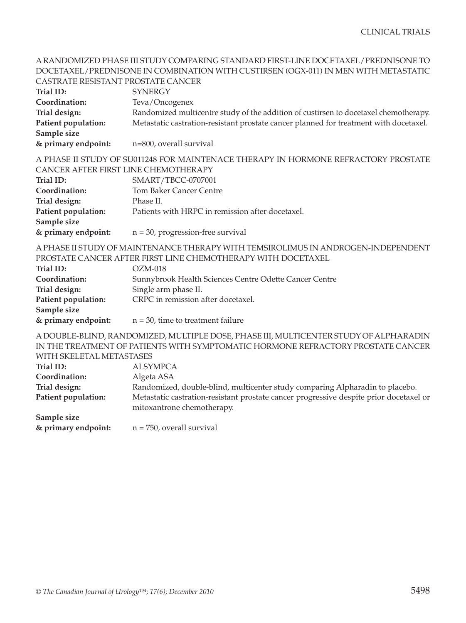#### A RANDOMIZED PHASE III STUDY COMPARING STANDARD FIRST-LINE DOCETAXEL/PREDNISONE TO DOCETAXEL/PREDNISONE IN COMBINATION WITH CUSTIRSEN (OGX-011) IN MEN WITH METASTATIC CASTRATE RESISTANT PROSTATE CANCER

| Trial ID:           | <b>SYNERGY</b>                                                                        |
|---------------------|---------------------------------------------------------------------------------------|
| Coordination:       | Teva/Oncogenex                                                                        |
| Trial design:       | Randomized multicentre study of the addition of custirsen to docetaxel chemotherapy.  |
| Patient population: | Metastatic castration-resistant prostate cancer planned for treatment with docetaxel. |
| Sample size         |                                                                                       |
| & primary endpoint: | n=800, overall survival                                                               |

A PHASE II STUDY OF SU011248 FOR MAINTENACE THERAPY IN HORMONE REFRACTORY PROSTATE CANCER AFTER FIRST LINE CHEMOTHERAPY

| Trial ID:           | SMART/TBCC-0707001                               |
|---------------------|--------------------------------------------------|
| Coordination:       | Tom Baker Cancer Centre                          |
| Trial design:       | Phase II.                                        |
| Patient population: | Patients with HRPC in remission after docetaxel. |
| Sample size         |                                                  |
| & primary endpoint: | $n = 30$ , progression-free survival             |

A PHASE II STUDY OF MAINTENANCE THERAPY WITH TEMSIROLIMUS IN ANDROGEN-INDEPENDENT PROSTATE CANCER AFTER FIRST LINE CHEMOTHERAPY WITH DOCETAXEL

| Trial ID:           | $OZM-018$                                              |
|---------------------|--------------------------------------------------------|
| Coordination:       | Sunnybrook Health Sciences Centre Odette Cancer Centre |
| Trial design:       | Single arm phase II.                                   |
| Patient population: | CRPC in remission after docetaxel.                     |
| Sample size         |                                                        |
| & primary endpoint: | $n = 30$ , time to treatment failure                   |

A DOUBLE-BLIND, RANDOMIZED, MULTIPLE DOSE, PHASE III, MULTICENTER STUDY OF ALPHARADIN IN THE TREATMENT OF PATIENTS WITH SYMPTOMATIC HORMONE REFRACTORY PROSTATE CANCER WITH CVELETAL METACTACES

| <u>VYIIII ONEEEIAE IVIEIAO IAOEO</u> |                                                                                                                      |
|--------------------------------------|----------------------------------------------------------------------------------------------------------------------|
| Trial ID:                            | <b>ALSYMPCA</b>                                                                                                      |
| Coordination:                        | Algeta ASA                                                                                                           |
| Trial design:                        | Randomized, double-blind, multicenter study comparing Alpharadin to placebo.                                         |
| Patient population:                  | Metastatic castration-resistant prostate cancer progressive despite prior docetaxel or<br>mitoxantrone chemotherapy. |
| Sample size                          |                                                                                                                      |
| & primary endpoint:                  | $n = 750$ , overall survival                                                                                         |